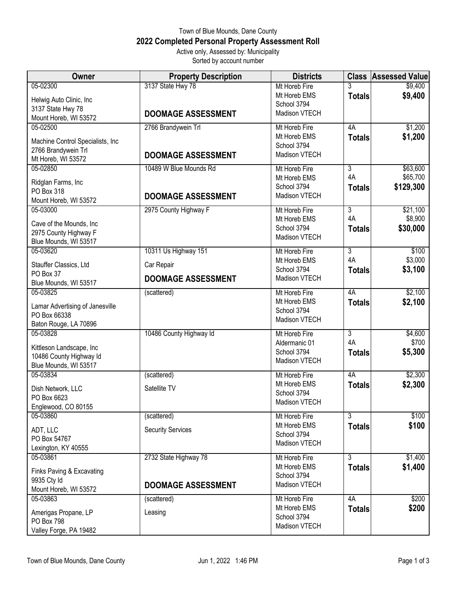## Town of Blue Mounds, Dane County **2022 Completed Personal Property Assessment Roll** Active only, Assessed by: Municipality

Sorted by account number

| Owner                            | <b>Property Description</b> | <b>Districts</b>                    |                | <b>Class Assessed Value</b> |
|----------------------------------|-----------------------------|-------------------------------------|----------------|-----------------------------|
| 05-02300                         | 3137 State Hwy 78           | Mt Horeb Fire                       | 3              | \$9,400                     |
| Helwig Auto Clinic, Inc          |                             | Mt Horeb EMS                        | <b>Totals</b>  | \$9,400                     |
| 3137 State Hwy 78                |                             | School 3794<br><b>Madison VTECH</b> |                |                             |
| Mount Horeb, WI 53572            | <b>DOOMAGE ASSESSMENT</b>   |                                     |                |                             |
| 05-02500                         | 2766 Brandywein Trl         | Mt Horeb Fire                       | 4A             | \$1,200                     |
| Machine Control Specialists, Inc |                             | Mt Horeb EMS                        | <b>Totals</b>  | \$1,200                     |
| 2766 Brandywein Trl              |                             | School 3794<br>Madison VTECH        |                |                             |
| Mt Horeb, WI 53572               | <b>DOOMAGE ASSESSMENT</b>   |                                     |                |                             |
| 05-02850                         | 10489 W Blue Mounds Rd      | Mt Horeb Fire                       | 3              | \$63,600                    |
| Ridglan Farms, Inc               |                             | Mt Horeb EMS                        | 4A             | \$65,700                    |
| PO Box 318                       |                             | School 3794<br>Madison VTECH        | <b>Totals</b>  | \$129,300                   |
| Mount Horeb, WI 53572            | <b>DOOMAGE ASSESSMENT</b>   |                                     |                |                             |
| 05-03000                         | 2975 County Highway F       | Mt Horeb Fire                       | $\overline{3}$ | \$21,100                    |
| Cave of the Mounds, Inc          |                             | Mt Horeb EMS                        | 4A             | \$8,900                     |
| 2975 County Highway F            |                             | School 3794<br>Madison VTECH        | <b>Totals</b>  | \$30,000                    |
| Blue Mounds, WI 53517            |                             |                                     |                |                             |
| 05-03620                         | 10311 Us Highway 151        | Mt Horeb Fire                       | $\overline{3}$ | \$100                       |
| Stauffer Classics, Ltd           | Car Repair                  | Mt Horeb EMS                        | 4A             | \$3,000                     |
| PO Box 37                        | <b>DOOMAGE ASSESSMENT</b>   | School 3794<br>Madison VTECH        | <b>Totals</b>  | \$3,100                     |
| Blue Mounds, WI 53517            |                             |                                     |                |                             |
| 05-03825                         | (scattered)                 | Mt Horeb Fire                       | 4A             | \$2,100                     |
| Lamar Advertising of Janesville  |                             | Mt Horeb EMS                        | <b>Totals</b>  | \$2,100                     |
| PO Box 66338                     |                             | School 3794<br>Madison VTECH        |                |                             |
| Baton Rouge, LA 70896            |                             |                                     |                |                             |
| 05-03828                         | 10486 County Highway Id     | Mt Horeb Fire                       | $\overline{3}$ | \$4,600                     |
| Kittleson Landscape, Inc         |                             | Aldermanic 01<br>School 3794        | 4A             | \$700                       |
| 10486 County Highway Id          |                             | Madison VTECH                       | <b>Totals</b>  | \$5,300                     |
| Blue Mounds, WI 53517            |                             |                                     |                |                             |
| 05-03834                         | (scattered)                 | Mt Horeb Fire                       | 4A             | \$2,300                     |
| Dish Network, LLC                | Satellite TV                | Mt Horeb EMS<br>School 3794         | <b>Totals</b>  | \$2,300                     |
| PO Box 6623                      |                             | <b>Madison VTECH</b>                |                |                             |
| Englewood, CO 80155              |                             |                                     |                |                             |
| 05-03860                         | (scattered)                 | Mt Horeb Fire                       | 3              | \$100                       |
| ADT, LLC                         | <b>Security Services</b>    | Mt Horeb EMS<br>School 3794         | <b>Totals</b>  | \$100                       |
| PO Box 54767                     |                             | <b>Madison VTECH</b>                |                |                             |
| Lexington, KY 40555              |                             |                                     |                |                             |
| 05-03861                         | 2732 State Highway 78       | Mt Horeb Fire<br>Mt Horeb EMS       | 3              | \$1,400                     |
| Finks Paving & Excavating        |                             | School 3794                         | <b>Totals</b>  | \$1,400                     |
| 9935 Cty Id                      | <b>DOOMAGE ASSESSMENT</b>   | Madison VTECH                       |                |                             |
| Mount Horeb, WI 53572            |                             |                                     |                |                             |
| 05-03863                         | (scattered)                 | Mt Horeb Fire<br>Mt Horeb EMS       | 4A             | \$200<br>\$200              |
| Amerigas Propane, LP             | Leasing                     | School 3794                         | <b>Totals</b>  |                             |
| PO Box 798                       |                             | Madison VTECH                       |                |                             |
| Valley Forge, PA 19482           |                             |                                     |                |                             |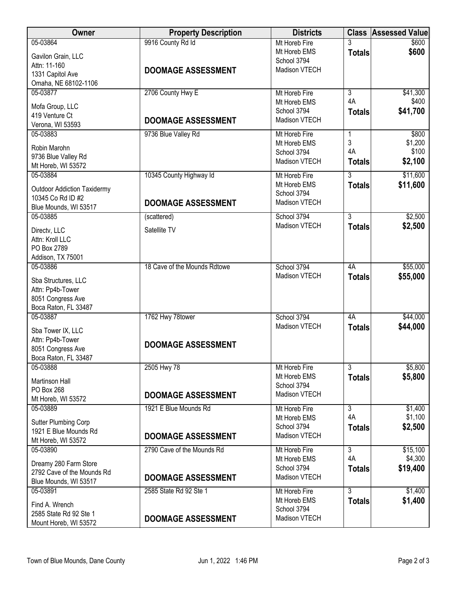| <b>Owner</b>                            | <b>Property Description</b>  | <b>Districts</b>             |                | <b>Class Assessed Value</b> |
|-----------------------------------------|------------------------------|------------------------------|----------------|-----------------------------|
| 05-03864                                | 9916 County Rd Id            | Mt Horeb Fire                |                | \$600                       |
| Gavilon Grain, LLC                      |                              | Mt Horeb EMS                 | <b>Totals</b>  | \$600                       |
| Attn: 11-160                            |                              | School 3794                  |                |                             |
| 1331 Capitol Ave                        | <b>DOOMAGE ASSESSMENT</b>    | Madison VTECH                |                |                             |
| Omaha, NE 68102-1106                    |                              |                              |                |                             |
| 05-03877                                | 2706 County Hwy E            | Mt Horeb Fire                | $\overline{3}$ | \$41,300                    |
|                                         |                              | Mt Horeb EMS                 | 4A             | \$400                       |
| Mofa Group, LLC<br>419 Venture Ct       |                              | School 3794                  | <b>Totals</b>  | \$41,700                    |
| Verona, WI 53593                        | <b>DOOMAGE ASSESSMENT</b>    | Madison VTECH                |                |                             |
| 05-03883                                | 9736 Blue Valley Rd          | Mt Horeb Fire                | 1              | \$800                       |
|                                         |                              | Mt Horeb EMS                 | 3              | \$1,200                     |
| Robin Marohn                            |                              | School 3794                  | 4A             | \$100                       |
| 9736 Blue Valley Rd                     |                              | Madison VTECH                | <b>Totals</b>  | \$2,100                     |
| Mt Horeb, WI 53572                      |                              |                              |                |                             |
| 05-03884                                | 10345 County Highway Id      | Mt Horeb Fire                | 3              | \$11,600                    |
| <b>Outdoor Addiction Taxidermy</b>      |                              | Mt Horeb EMS                 | <b>Totals</b>  | \$11,600                    |
| 10345 Co Rd ID #2                       |                              | School 3794                  |                |                             |
| Blue Mounds, WI 53517                   | <b>DOOMAGE ASSESSMENT</b>    | Madison VTECH                |                |                             |
| 05-03885                                | (scattered)                  | School 3794                  | $\overline{3}$ | \$2,500                     |
| Directv, LLC                            | Satellite TV                 | Madison VTECH                | <b>Totals</b>  | \$2,500                     |
| Attn: Kroll LLC                         |                              |                              |                |                             |
| PO Box 2789                             |                              |                              |                |                             |
| Addison, TX 75001                       |                              |                              |                |                             |
| 05-03886                                | 18 Cave of the Mounds Rdtowe | School 3794                  | 4A             | \$55,000                    |
|                                         |                              | Madison VTECH                | <b>Totals</b>  | \$55,000                    |
| Sba Structures, LLC<br>Attn: Pp4b-Tower |                              |                              |                |                             |
| 8051 Congress Ave                       |                              |                              |                |                             |
| Boca Raton, FL 33487                    |                              |                              |                |                             |
| 05-03887                                | 1762 Hwy 78tower             | School 3794                  | 4A             | \$44,000                    |
|                                         |                              | Madison VTECH                | <b>Totals</b>  | \$44,000                    |
| Sba Tower IX, LLC                       |                              |                              |                |                             |
| Attn: Pp4b-Tower                        | <b>DOOMAGE ASSESSMENT</b>    |                              |                |                             |
| 8051 Congress Ave                       |                              |                              |                |                             |
| Boca Raton, FL 33487<br>05-03888        | 2505 Hwy 78                  | Mt Horeb Fire                | $\overline{3}$ | \$5,800                     |
|                                         |                              | Mt Horeb EMS                 |                | \$5,800                     |
| Martinson Hall                          |                              | School 3794                  | <b>Totals</b>  |                             |
| PO Box 268                              | <b>DOOMAGE ASSESSMENT</b>    | Madison VTECH                |                |                             |
| Mt Horeb, WI 53572                      |                              |                              |                |                             |
| 05-03889                                | 1921 E Blue Mounds Rd        | Mt Horeb Fire                | $\overline{3}$ | \$1,400                     |
| Sutter Plumbing Corp                    |                              | Mt Horeb EMS                 | 4A             | \$1,100                     |
| 1921 E Blue Mounds Rd                   |                              | School 3794<br>Madison VTECH | <b>Totals</b>  | \$2,500                     |
| Mt Horeb, WI 53572                      | <b>DOOMAGE ASSESSMENT</b>    |                              |                |                             |
| 05-03890                                | 2790 Cave of the Mounds Rd   | Mt Horeb Fire                | 3              | \$15,100                    |
| Dreamy 280 Farm Store                   |                              | Mt Horeb EMS                 | 4A             | \$4,300                     |
| 2792 Cave of the Mounds Rd              |                              | School 3794                  | <b>Totals</b>  | \$19,400                    |
| Blue Mounds, WI 53517                   | <b>DOOMAGE ASSESSMENT</b>    | Madison VTECH                |                |                             |
| 05-03891                                | 2585 State Rd 92 Ste 1       | Mt Horeb Fire                | $\overline{3}$ | \$1,400                     |
| Find A. Wrench                          |                              | Mt Horeb EMS                 | <b>Totals</b>  | \$1,400                     |
| 2585 State Rd 92 Ste 1                  |                              | School 3794                  |                |                             |
| Mount Horeb, WI 53572                   | <b>DOOMAGE ASSESSMENT</b>    | Madison VTECH                |                |                             |